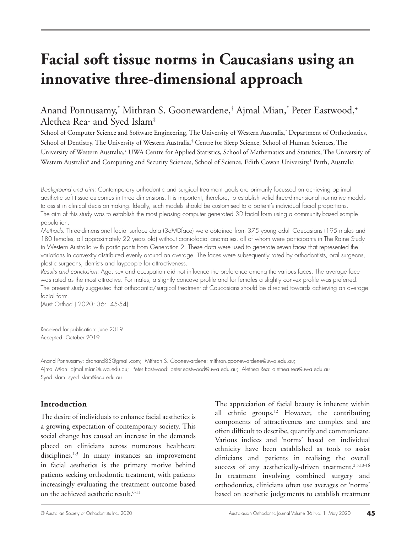# **Facial soft tissue norms in Caucasians using an innovative three-dimensional approach**

## Anand Ponnusamy,\* Mithran S. Goonewardene,† Ajmal Mian,\* Peter Eastwood,+ Alethea Rea± and Syed Islam‡

School of Computer Science and Software Engineering, The University of Western Australia,\* Department of Orthodontics, School of Dentistry, The University of Western Australia,† Centre for Sleep Science, School of Human Sciences, The University of Western Australia,+ UWA Centre for Applied Statistics, School of Mathematics and Statistics, The University of Western Australia± and Computing and Security Sciences, School of Science, Edith Cowan University,‡ Perth, Australia

*Background and aim:* Contemporary orthodontic and surgical treatment goals are primarily focussed on achieving optimal aesthetic soft tissue outcomes in three dimensions. It is important, therefore, to establish valid three-dimensional normative models to assist in clinical decision-making. Ideally, such models should be customised to a patient's individual facial proportions. The aim of this study was to establish the most pleasing computer generated 3D facial form using a community-based sample population.

*Methods:* Three-dimensional facial surface data (3dMDface) were obtained from 375 young adult Caucasians (195 males and 180 females, all approximately 22 years old) without craniofacial anomalies, all of whom were participants in The Raine Study in Western Australia with participants from Generation 2. These data were used to generate seven faces that represented the variations in convexity distributed evenly around an average. The faces were subsequently rated by orthodontists, oral surgeons, plastic surgeons, dentists and laypeople for attractiveness.

*Results and conclusion:* Age, sex and occupation did not influence the preference among the various faces. The average face was rated as the most attractive. For males, a slightly concave profile and for females a slightly convex profile was preferred. The present study suggested that orthodontic/surgical treatment of Caucasians should be directed towards achieving an average facial form.

(Aust Orthod J 2020; 36: 45-54)

Received for publication: June 2019 Accepted: October 2019

Anand Ponnusamy: dranand85@gmail.com; Mithran S. Goonewardene: mithran.goonewardene@uwa.edu.au; Ajmal Mian: ajmal.mian@uwa.edu.au; Peter Eastwood: peter.eastwood@uwa.edu.au; Alethea Rea: alethea.rea@uwa.edu.au Syed Islam: syed.islam@ecu.edu.au

## **Introduction**

The desire of individuals to enhance facial aesthetics is a growing expectation of contemporary society. This social change has caused an increase in the demands placed on clinicians across numerous healthcare disciplines.<sup>1-5</sup> In many instances an improvement in facial aesthetics is the primary motive behind patients seeking orthodontic treatment, with patients increasingly evaluating the treatment outcome based on the achieved aesthetic result.<sup>6-11</sup>

The appreciation of facial beauty is inherent within all ethnic groups.<sup>12</sup> However, the contributing components of attractiveness are complex and are often difficult to describe, quantify and communicate. Various indices and 'norms' based on individual ethnicity have been established as tools to assist clinicians and patients in realising the overall success of any aesthetically-driven treatment.<sup>2,3,13-16</sup> In treatment involving combined surgery and orthodontics, clinicians often use averages or 'norms' based on aesthetic judgements to establish treatment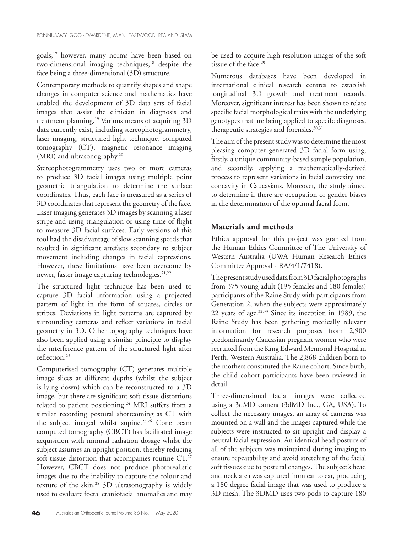goals;17 however, many norms have been based on two-dimensional imaging techniques,<sup>18</sup> despite the face being a three-dimensional (3D) structure.

Contemporary methods to quantify shapes and shape changes in computer science and mathematics have enabled the development of 3D data sets of facial images that assist the clinician in diagnosis and treatment planning.19 Various means of acquiring 3D data currently exist, including stereophotogrammetry, laser imaging, structured light technique, computed tomography (CT), magnetic resonance imaging (MRI) and ultrasonography.<sup>20</sup>

Stereophotogrammetry uses two or more cameras to produce 3D facial images using multiple point geometric triangulation to determine the surface coordinates. Thus, each face is measured as a series of 3D coordinates that represent the geometry of the face. Laser imaging generates 3D images by scanning a laser stripe and using triangulation or using time of flight to measure 3D facial surfaces. Early versions of this tool had the disadvantage of slow scanning speeds that resulted in significant artefacts secondary to subject movement including changes in facial expressions. However, these limitations have been overcome by newer, faster image capturing technologies.<sup>21,22</sup>

The structured light technique has been used to capture 3D facial information using a projected pattern of light in the form of squares, circles or stripes. Deviations in light patterns are captured by surrounding cameras and reflect variations in facial geometry in 3D. Other topography techniques have also been applied using a similar principle to display the interference pattern of the structured light after reflection.23

Computerised tomography (CT) generates multiple image slices at different depths (whilst the subject is lying down) which can be reconstructed to a 3D image, but there are significant soft tissue distortions related to patient positioning.24 MRI suffers from a similar recording postural shortcoming as CT with the subject imaged whilst supine.25,26 Cone beam computed tomography (CBCT) has facilitated image acquisition with minmal radiation dosage whilst the subject assumes an upright position, thereby reducing soft tissue distortion that accompanies routine CT.<sup>27</sup> However, CBCT does not produce photorealistic images due to the inability to capture the colour and texture of the skin.28 3D ultrasonography is widely used to evaluate foetal craniofacial anomalies and may be used to acquire high resolution images of the soft tissue of the face.<sup>29</sup>

Numerous databases have been developed in international clinical research centres to establish longitudinal 3D growth and treatment records. Moreover, significant interest has been shown to relate specific facial morphological traits with the underlying genotypes that are being applied to specifc diagnoses, therapeutic strategies and forensics.<sup>30,31</sup>

The aim of the present study was to determine the most pleasing computer generated 3D facial form using, firstly, a unique community-based sample population, and secondly, applying a mathematically-derived process to represent variations in facial convexity and concavity in Caucasians. Moreover, the study aimed to determine if there are occupation or gender biases in the determination of the optimal facial form.

## **Materials and methods**

Ethics approval for this project was granted from the Human Ethics Committee of The University of Western Australia (UWA Human Research Ethics Committee Approval - RA/4/1/7418).

The present study used data from 3D facial photographs from 375 young adult (195 females and 180 females) participants of the Raine Study with participants from Generation 2, when the subjects were approximately 22 years of age.32,33 Since its inception in 1989, the Raine Study has been gathering medically relevant information for research purposes from 2,900 predominantly Caucasian pregnant women who were recruited from the King Edward Memorial Hospital in Perth, Western Australia. The 2,868 children born to the mothers constituted the Raine cohort. Since birth, the child cohort participants have been reviewed in detail.

Three-dimensional facial images were collected using a 3dMD camera (3dMD Inc., GA, USA). To collect the necessary images, an array of cameras was mounted on a wall and the images captured while the subjects were instructed to sit upright and display a neutral facial expression. An identical head posture of all of the subjects was maintained during imaging to ensure repeatability and avoid stretching of the facial soft tissues due to postural changes. The subject's head and neck area was captured from ear to ear, producing a 180 degree facial image that was used to produce a 3D mesh. The 3DMD uses two pods to capture 180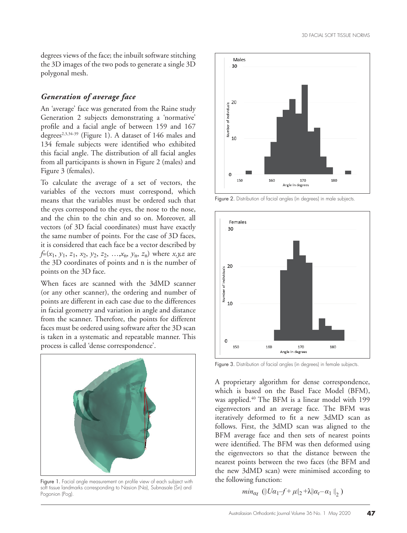degrees views of the face; the inbuilt software stitching the 3D images of the two pods to generate a single 3D polygonal mesh.

## *Generation of average face*

An 'average' face was generated from the Raine study Generation 2 subjects demonstrating a 'normative' profile and a facial angle of between 159 and 167 degrees<sup>2,3,34-39</sup> (Figure 1). A dataset of 146 males and 134 female subjects were identified who exhibited this facial angle. The distribution of all facial angles from all participants is shown in Figure 2 (males) and Figure 3 (females).

To calculate the average of a set of vectors, the variables of the vectors must correspond, which means that the variables must be ordered such that the eyes correspond to the eyes, the nose to the nose, and the chin to the chin and so on. Moreover, all vectors (of 3D facial coordinates) must have exactly the same number of points. For the case of 3D faces, it is considered that each face be a vector described by *f*=(*x*1, *y*1, *z*1, *x*2, *y*2, *z*2, …,*x*n, *y*n, *z*n) where *x,y,z* are the 3D coordinates of points and n is the number of points on the 3D face.

When faces are scanned with the 3dMD scanner (or any other scanner), the ordering and number of points are different in each case due to the differences in facial geometry and variation in angle and distance from the scanner. Therefore, the points for different faces must be ordered using software after the 3D scan is taken in a systematic and repeatable manner. This process is called 'dense correspondence'.



Figure 1. Facial angle measurement on profile view of each subject with soft tissue landmarks corresponding to Nasion (Na), Subnasale (Sn) and Pogonion (Pog).



Figure 2. Distribution of facial angles (in degrees) in male subjects.



Figure 3. Distribution of facial angles (in degrees) in female subjects.

A proprietary algorithm for dense correspondence, which is based on the Basel Face Model (BFM), was applied.<sup>40</sup> The BFM is a linear model with 199 eigenvectors and an average face. The BFM was iteratively deformed to fit a new 3dMD scan as follows. First, the 3dMD scan was aligned to the BFM average face and then sets of nearest points were identified. The BFM was then deformed using the eigenvectors so that the distance between the nearest points between the two faces (the BFM and the new 3dMD scan) were minimised according to the following function:

 $min_{\alpha_t} (||U\alpha_1 - f + \mu||_2 + \lambda ||\alpha_t - \alpha_1||_2)$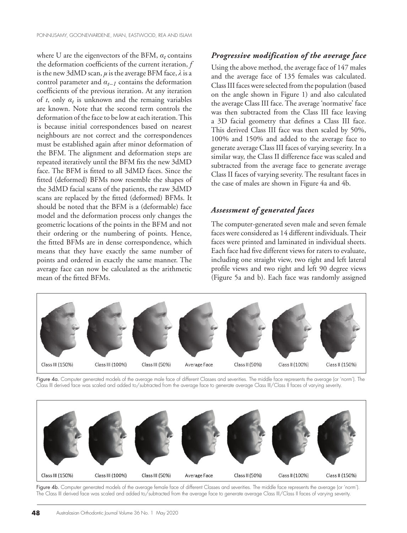where U are the eigenvectors of the BFM, *αt* contains the deformation coefficients of the current iteration, *f* is the new 3dMD scan, *μ* is the average BFM face, *λ* is a control parameter and  $\alpha_{t-1}$  contains the deformation coefficients of the previous iteration. At any iteration of  $t$ , only  $\alpha_t$  is unknown and the remaing variables are known. Note that the second term controls the deformation of the face to be low at each iteration. This is because initial correspondences based on nearest neighbours are not correct and the correspondences must be established again after minor deformation of the BFM. The alignment and deformation steps are repeated iteratively until the BFM fits the new 3dMD face. The BFM is fitted to all 3dMD faces. Since the fitted (deformed) BFMs now resemble the shapes of the 3dMD facial scans of the patients, the raw 3dMD scans are replaced by the fitted (deformed) BFMs. It should be noted that the BFM is a (deformable) face model and the deformation process only changes the geometric locations of the points in the BFM and not their ordering or the numbering of points. Hence, the fitted BFMs are in dense correspondence, which means that they have exactly the same number of points and ordered in exactly the same manner. The average face can now be calculated as the arithmetic mean of the fitted BFMs.

#### *Progressive modification of the average face*

Using the above method, the average face of 147 males and the average face of 135 females was calculated. Class III faces were selected from the population (based on the angle shown in Figure 1) and also calculated the average Class III face. The average 'normative' face was then subtracted from the Class III face leaving a 3D facial geometry that defines a Class III face. This derived Class III face was then scaled by 50%, 100% and 150% and added to the average face to generate average Class III faces of varying severity. In a similar way, the Class II difference face was scaled and subtracted from the average face to generate average Class II faces of varying severity. The resultant faces in the case of males are shown in Figure 4a and 4b.

## *Assessment of generated faces*

The computer-generated seven male and seven female faces were considered as 14 different individuals. Their faces were printed and laminated in individual sheets. Each face had five different views for raters to evaluate, including one straight view, two right and left lateral profile views and two right and left 90 degree views (Figure 5a and b). Each face was randomly assigned



Figure 4a. Computer generated models of the average male face of different Classes and severities. The middle face represents the average (or 'norm'). The Class III derived face was scaled and added to/subtracted from the average face to generate average Class III/Class II faces of varying severity.



Figure 4b. Computer generated models of the average female face of different Classes and severities. The middle face represents the average (or 'norm'). The Class III derived face was scaled and added to/subtracted from the average face to generate average Class III/Class II faces of varying severity.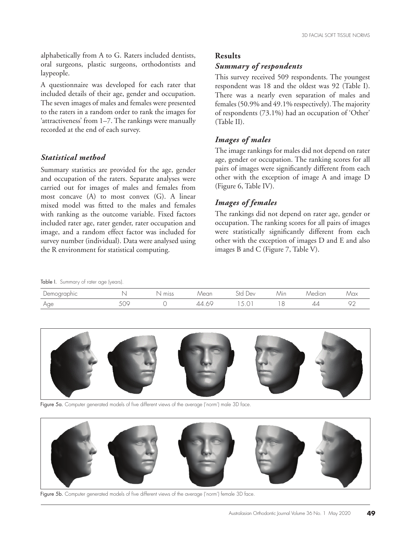alphabetically from A to G. Raters included dentists, oral surgeons, plastic surgeons, orthodontists and laypeople.

A questionnaire was developed for each rater that included details of their age, gender and occupation. The seven images of males and females were presented to the raters in a random order to rank the images for 'attractiveness' from 1–7. The rankings were manually recorded at the end of each survey.

## *Statistical method*

Summary statistics are provided for the age, gender and occupation of the raters. Separate analyses were carried out for images of males and females from most concave (A) to most convex (G). A linear mixed model was fitted to the males and females with ranking as the outcome variable. Fixed factors included rater age, rater gender, rater occupation and image, and a random effect factor was included for survey number (individual). Data were analysed using the R environment for statistical computing.

#### **Results**

#### *Summary of respondents*

This survey received 509 respondents. The youngest respondent was 18 and the oldest was 92 (Table I). There was a nearly even separation of males and females (50.9% and 49.1% respectively). The majority of respondents (73.1%) had an occupation of 'Other' (Table II).

#### *Images of males*

The image rankings for males did not depend on rater age, gender or occupation. The ranking scores for all pairs of images were significantly different from each other with the exception of image A and image D (Figure 6, Table IV).

#### *Images of females*

The rankings did not depend on rater age, gender or occupation. The ranking scores for all pairs of images were statistically significantly different from each other with the exception of images D and E and also images B and C (Figure 7, Table V).

Table I. Summary of rater age (years).

| Demographic |                 | miss | Vlear | vev<br>√t∼                 | $\cdots$<br>/V\in | <i><u><b>Aedian</b></u></i> | / ICIX        |
|-------------|-----------------|------|-------|----------------------------|-------------------|-----------------------------|---------------|
| Age         | $-\wedge$<br>◡◡ |      |       | $\check{ }$<br>$\check{ }$ | $\sim$            | ∠⊥∠                         | $\cap$ $\cap$ |



Figure 5a. Computer generated models of five different views of the average ('norm') male 3D face.



Figure 5b. Computer generated models of five different views of the average ('norm') female 3D face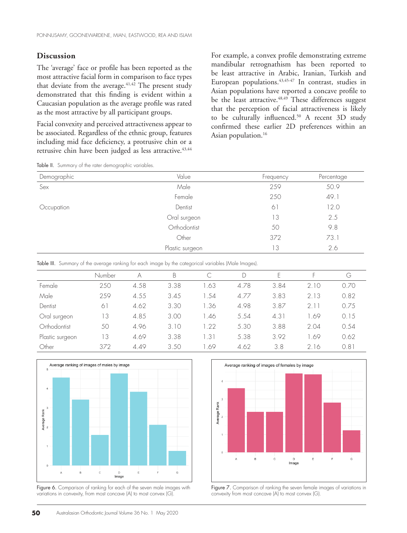#### **Discussion**

The 'average' face or profile has been reported as the most attractive facial form in comparison to face types that deviate from the average.<sup>41,42</sup> The present study demonstrated that this finding is evident within a Caucasian population as the average profile was rated as the most attractive by all participant groups.

Facial convexity and perceived attractiveness appear to be associated. Regardless of the ethnic group, features including mid face deficiency, a protrusive chin or a retrusive chin have been judged as less attractive.<sup>43,44</sup>

For example, a convex profile demonstrating extreme mandibular retrognathism has been reported to be least attractive in Arabic, Iranian, Turkish and European populations.43,45-47 In contrast, studies in Asian populations have reported a concave profile to be the least attractive.<sup>48,49</sup> These differences suggest that the perception of facial attractiveness is likely to be culturally influenced.<sup>50</sup> A recent 3D study confirmed these earlier 2D preferences within an Asian population.<sup>16</sup>

Table II. Summary of the rater demographic variables.

| Demographic | Value           | Frequency | Percentage |
|-------------|-----------------|-----------|------------|
| Sex         | Male            | 259       | 50.9       |
|             | Female          | 250       | 49.1       |
| Occupation  | Dentist         | 61        | 12.0       |
|             | Oral surgeon    | 13        | 2.5        |
|             | Orthodontist    | 50        | 9.8        |
|             | Other           | 372       | 73.1       |
|             | Plastic surgeon | 13        | 2.6        |

Table III. Summary of the average ranking for each image by the categorical variables (Male Images).

|                 | Number | А    | B    |                     | D    | ⊢    |      | G    |
|-----------------|--------|------|------|---------------------|------|------|------|------|
| Female          | 250    | 4.58 | 3.38 | 1.63                | 4.78 | 3.84 | 2.10 | 0.70 |
| Male            | 259    | 4.55 | 3.45 | 1.54                | 4.77 | 3.83 | 2.13 | 0.82 |
| Dentist         | 61     | 4.62 | 3.30 | 1.36                | 4.98 | 3.87 | 211  | 0.75 |
| Oral surgeon    | 13     | 4.85 | 3.00 | 1.46                | 5.54 | 4.31 | 1.69 | 0.15 |
| Orthodontist    | 50     | 4.96 | 3.10 | .22                 | 5.30 | 3.88 | 2.04 | 0.54 |
| Plastic surgeon | 13     | 4.69 | 3.38 | $\left[ .3 \right]$ | 5.38 | 3.92 | 1.69 | 0.62 |
| Other           | 372    | 4.49 | 3.50 | 1.69                | 4.62 | 3.8  | 2.16 | 0.81 |



Figure 6. Comparison of ranking for each of the seven male images with variations in convexity, from most concave (A) to most convex (G).



Figure 7. Comparison of ranking the seven female images of variations in convexity from most concave (A) to most convex (G).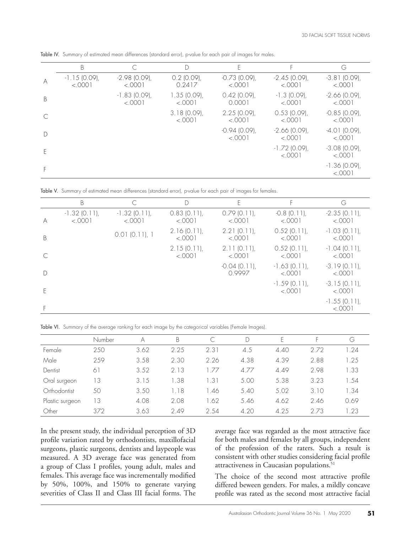|   | B                         |                            |                         | E                          |                            | G                          |
|---|---------------------------|----------------------------|-------------------------|----------------------------|----------------------------|----------------------------|
| A | $-1.15(0.09)$ ,<br>< 0001 | $-2.98$ (0.09),<br>< 0.001 | $0.2$ (0.09),<br>0.2417 | $-0.73$ (0.09),<br>< 0.001 | $-2.45(0.09)$ ,<br>< 0.001 | $-3.81(0.09)$ ,<br>< 0.001 |
| B |                           | $-1.83$ (0.09),<br>< .0001 | 1.35(0.09)<br>< 0001    | $0.42$ (0.09),<br>0.0001   | $-1.3$ (0.09),<br>< .0001  | $-2.66$ (0.09),<br>< .0001 |
|   |                           |                            | 3.18(0.09)<br>< 0001    | 2.25(0.09)<br>< 0.001      | $0.53$ (0.09),<br>< 0.001  | $-0.85$ (0.09),<br>< 0.001 |
| D |                           |                            |                         | $-0.94(0.09)$ ,<br>< .0001 | $-2.66$ (0.09),<br>< .0001 | $-4.01(0.09)$<br>< .0001   |
| F |                           |                            |                         |                            | $-1.72$ (0.09),<br>< 0001  | $-3.08$ (0.09),<br>< 0.001 |
|   |                           |                            |                         |                            |                            | $-1.36$ (0.09),<br>< .0001 |

Table IV. Summary of estimated mean differences (standard error), p-value for each pair of images for males.

Table V. Summary of estimated mean differences (standard error), p-value for each pair of images for females.

|   | B                          | $\subset$                  | $\Box$                    | E                         | F                          | G                          |
|---|----------------------------|----------------------------|---------------------------|---------------------------|----------------------------|----------------------------|
| A | $-1.32$ (0.11),<br>< .0001 | $-1.32$ (0.11),<br>< .0001 | 0.83(0.11)<br>< .0001     | 0.79(0.11)<br>< .0001     | $-0.8$ (0.11),<br>< .0001  | $-2.35(0.11)$ ,<br>< .0001 |
| B |                            | 0.01(0.11), 1              | $2.16(0.11)$ ,<br>< .0001 | $2.21(0.11)$ ,<br>< .0001 | $0.52$ (0.11),<br>< .0001  | $-1.03$ (0.11),<br>< .0001 |
|   |                            |                            | 2.15(0.11)<br>< .0001     | 2.11(0.11)<br>< .0001     | $0.52$ (0.11),<br>< .0001  | $-1.04(0.11)$<br>< .0001   |
| D |                            |                            |                           | $-0.04(0.11)$ ,<br>0.9997 | $-1.63$ (0.11),<br>< .0001 | $-3.19(0.11)$ ,<br>< .0001 |
| F |                            |                            |                           |                           | $-1.59$ (0.11)<br>< .0001  | $-3.15(0.11)$ ,<br>< .0001 |
|   |                            |                            |                           |                           |                            | $-1.55(0.11)$<br>< .0001   |

Table VI. Summary of the average ranking for each image by the categorical variables (Female Images).

|                 | Number        | А    | B    |                      |      | н.   | н.   | G                |
|-----------------|---------------|------|------|----------------------|------|------|------|------------------|
| Female          | 250           | 3.62 | 2.25 | 2.31                 | 4.5  | 4.40 | 2.72 | 1.24             |
| Male            | 259           | 3.58 | 2.30 | 2.26                 | 4.38 | 4.39 | 2.88 | 1.25             |
| Dentist         | $6^{\degree}$ | 3.52 | 2.13 | .77                  | 4.77 | 4.49 | 2.98 | .33              |
| Oral surgeon    | 13            | 3.15 | 1.38 | $\left[ .31 \right]$ | 5.00 | 5.38 | 3.23 | 1.54             |
| Orthodontist    | 50            | 3.50 | .18  | 1.46                 | 5.40 | 5.02 | 3.10 | $\overline{.}34$ |
| Plastic surgeon | 3             | 4.08 | 2.08 | 1.62                 | 5.46 | 4.62 | 2.46 | 0.69             |
| Other           | 372           | 3.63 | 2.49 | 2.54                 | 4.20 | 4.25 | 273  | .23              |

In the present study, the individual perception of 3D profile variation rated by orthodontists, maxillofacial surgeons, plastic surgeons, dentists and laypeople was measured. A 3D average face was generated from a group of Class I profiles, young adult, males and females. This average face was incrementally modified by 50%, 100%, and 150% to generate varying severities of Class II and Class III facial forms. The

average face was regarded as the most attractive face for both males and females by all groups, independent of the profession of the raters. Such a result is consistent with other studies considering facial profile attractiveness in Caucasian populations.<sup>51</sup>

The choice of the second most attractive profile differed beween genders. For males, a mildly concave profile was rated as the second most attractive facial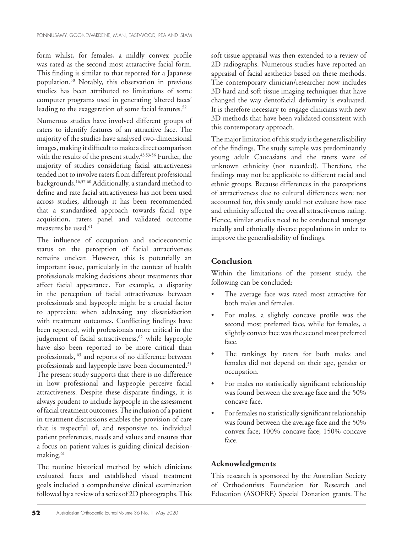form whilst, for females, a mildly convex profile was rated as the second most attaractive facial form. This finding is similar to that reported for a Japanese population.50 Notably, this observation in previous studies has been attributed to limitations of some computer programs used in generating 'altered faces' leading to the exaggeration of some facial features.<sup>52</sup>

Numerous studies have involved different groups of raters to identify features of an attractive face. The majority of the studies have analysed two-dimensional images, making it difficult to make a direct comparison with the results of the present study.<sup>43,53-56</sup> Further, the majority of studies considering facial attractiveness tended not to involve raters from different professional backgrounds.16,57-60 Additionally, a standard method to define and rate facial attractiveness has not been used across studies, although it has been recommended that a standardised approach towards facial type acquisition, raters panel and validated outcome measures be used.<sup>61</sup>

The influence of occupation and socioeconomic status on the perception of facial attractiveness remains unclear. However, this is potentially an important issue, particularly in the context of health professionals making decisions about treatments that affect facial appearance. For example, a disparity in the perception of facial attractiveness between professionals and laypeople might be a crucial factor to appreciate when addressing any dissatisfaction with treatment outcomes. Conflicting findings have been reported, with professionals more critical in the judgement of facial attractiveness,<sup>62</sup> while laypeople have also been reported to be more critical than professionals, 63 and reports of no difference between professionals and laypeople have been documented.<sup>51</sup> The present study supports that there is no difference in how professional and laypeople perceive facial attractiveness. Despite these disparate findings, it is always prudent to include laypeople in the assessment of facial treatment outcomes. The inclusion of a patient in treatment discussions enables the provision of care that is respectful of, and responsive to, individual patient preferences, needs and values and ensures that a focus on patient values is guiding clinical decisionmaking.<sup>61</sup>

The routine historical method by which clinicians evaluated faces and established visual treatment goals included a comprehensive clinical examination followed by a review of a series of 2D photographs. This

soft tissue appraisal was then extended to a review of 2D radiographs. Numerous studies have reported an appraisal of facial aesthetics based on these methods. The contemporary clinician/researcher now includes 3D hard and soft tissue imaging techniques that have changed the way dentofacial deformity is evaluated. It is therefore necessary to engage clinicians with new 3D methods that have been validated consistent with this contemporary approach.

The major limitation of this study is the generalisability of the findings. The study sample was predominantly young adult Caucasians and the raters were of unknown ethnicity (not recorded). Therefore, the findings may not be applicable to different racial and ethnic groups. Because differences in the perceptions of attractiveness due to cultural differences were not accounted for, this study could not evaluate how race and ethnicity affected the overall attractiveness rating. Hence, similar studies need to be conducted amongst racially and ethnically diverse populations in order to improve the generalisability of findings.

## **Conclusion**

Within the limitations of the present study, the following can be concluded:

- The average face was rated most attractive for both males and females.
- For males, a slightly concave profile was the second most preferred face, while for females, a slightly convex face was the second most preferred face.
- The rankings by raters for both males and females did not depend on their age, gender or occupation.
- For males no statistically significant relationship was found between the average face and the 50% concave face.
- For females no statistically significant relationship was found between the average face and the 50% convex face; 100% concave face; 150% concave face.

## **Acknowledgments**

This research is sponsored by the Australian Society of Orthodontists Foundation for Research and Education (ASOFRE) Special Donation grants. The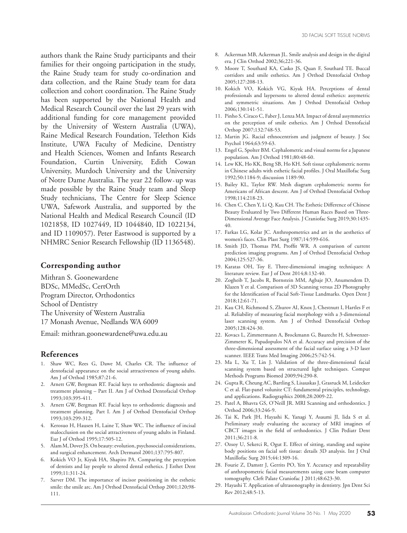authors thank the Raine Study participants and their families for their ongoing participation in the study, the Raine Study team for study co-ordination and data collection, and the Raine Study team for data collection and cohort coordination. The Raine Study has been supported by the National Health and Medical Research Council over the last 29 years with additional funding for core management provided by the University of Western Australia (UWA), Raine Medical Research Foundation, Telethon Kids Institute, UWA Faculty of Medicine, Dentistry and Health Sciences, Women and Infants Research Foundation, Curtin University, Edith Cowan University, Murdoch University and the University of Notre Dame Australia. The year 22 follow‐up was made possible by the Raine Study team and Sleep Study technicians, The Centre for Sleep Science UWA, Safework Australia, and supported by the National Health and Medical Research Council (ID 1021858, ID 1027449, ID 1044840, ID 1022134, and ID 1109057). Peter Eastwood is supported by a NHMRC Senior Research Fellowship (ID 1136548).

#### **Corresponding author**

Mithran S. Goonewardene BDSc, MMedSc, CertOrth Program Director, Orthodontics School of Dentistry The University of Western Australia 17 Monash Avenue, Nedlands WA 6009

Email: mithran.goonewardene@uwa.edu.au

## **References**

- 1. Shaw WC, Rees G, Dawe M, Charles CR. The influence of dentofacial appearance on the social attractiveness of young adults. Am J of Orthod 1985;87:21-6.
- 2. Arnett GW, Bergman RT. Facial keys to orthodontic diagnosis and treatment planning – Part II. Am J of Orthod Dentofacial Orthop 1993;103:395-411.
- 3. Arnett GW, Bergman RT. Facial keys to orthodontic diagnosis and treatment planning. Part I. Am J of Orthod Dentofacial Orthop 1993;103:299-312.
- 4. Kerosuo H, Hausen H, Laine T, Shaw WC. The influence of incisal malocclusion on the social attractiveness of young adults in Finland. Eur J of Orthod 1995;17:505-12.
- 5. Alam M, Dover JS. On beauty: evolution, psychosocial considerations, and surgical enhancement. Arch Dermatol 2001;137:795-807.
- 6. Kokich VO Jr, Kiyak HA, Shapiro PA. Comparing the perception of dentists and lay people to altered dental esthetics. J Esthet Dent 1999;11:311-24.
- 7. Sarver DM. The importance of incisor positioning in the esthetic smile: the smile arc. Am J Orthod Dentofacial Orthop 2001;120;98- 111.
- 8. Ackerman MB, Ackerman JL. Smile analysis and design in the digital era. J Clin Orthod 2002;36;221-36.
- 9. Moore T, Southard KA, Casko JS, Quan F, Southard TE. Buccal corridors and smile esthetics. Am J Orthod Dentofacial Orthop 2005;127:208-13.
- 10. Kokich VO, Kokich VG, Kiyak HA. Perceptions of dental professionals and laypersons to altered dental esthetics: assymetric and symmetric situations. Am J Orthod Dentofacial Orthop 2006;130:141-51.
- 11. Pinho S, Ciraco C, Faber J, Lenza MA. Impact of dental assymmetrics on the perception of smile esthetics. Am J Orthod Dentofacial Orthop 2007;132:748-53.
- 12. Martin JG. Racial ethnocentrism and judgment of beauty. J Soc Psychol 1964;63:59-63.
- 13. Engel G, Spolter BM. Cephalometric and visual norms for a Japanese population. Am J Orthod 1981;80:48-60.
- 14. Lew KK, Ho KK, Beng SB, Ho KH. Soft tissue cephalometric norms in Chinese adults with esthetic facial profiles. J Oral Maxillofac Surg 1992;50:1184-9; discussion 1189-90.
- 15. Bailey KL, Taylor RW. Mesh diagram cephalometric norms for Americans of African descent. Am J of Orthod Dentofacial Orthop 1998;114:218-23.
- 16. Chen C, Chen Y, Li Q, Kau CH. The Esthetic Difference of Chinese Beauty Evaluated by Two Different Human Races Based on Three-Dimensional Average Face Analysis. J Craniofac Surg 2019;30:1435- 40.
- 17. Farkas LG, Kolar JC. Anthropometrics and art in the aesthetics of women's faces. Clin Plast Surg 1987;14:599-616.
- 18. Smith JD, Thomas PM, Proffit WR. A comparison of current prediction imaging programs. Am J of Orthod Dentofacial Orthop 2004;125:527-36.
- 19. Karatas OH, Toy E. Three-dimensional imaging techniques: A literature review. Eur J of Dent 2014;8:132-40.
- 20. Zogheib T, Jacobs R, Bornstein MM, Agbaje JO, Anumendem D, Klazen Y et al. Comparison of 3D Scanning versus 2D Photography for the Identification of Facial Soft-Tissue Landmarks. Open Dent J 2018;12:61-71.
- 21. Kau CH, Richmond S, Zhurov AI, Knox J, Chestnutt I, Hartles F et al. Reliability of measuring facial morphology with a 3-dimensional laser scanning system. Am J of Orthod Dentofacial Orthop 2005;128:424-30.
- 22. Kovacs L, Zimmermann A, Brockmann G, Baurecht H, Schwenzer-Zimmerer K, Papadopulos NA et al. Accuracy and precision of the three-dimensional assessment of the facial surface using a 3-D laser scanner. IEEE Trans Med Imaging 2006;25:742-54.
- 23. Ma L, Xu T, Lin J. Validation of the three-dimensional facial scanning system based on structured light techniques. Comput Methods Programs Biomed 2009;94:290-8.
- 24. Gupta R, Cheung AC, Bartling S, Lisauskas J, Grasruck M, Leidecker C et al. Flat-panel volunite CT: fundamental principles, technology, and applications. Radiographics 2008;28:2009-22.
- 25. Patel A, Bhavra GS, O'Neill JR. MRI Scanning and orthodontics. J Orthod 2006;33:246-9.
- 26. Tai K, Park JH, Hayashi K, Yanagi Y, Asaumi JI, Iida S et al. Preliminary study evaluating the accuracy of MRI imagines of CBCT images in the field of orthodontics. J Clin Pediatr Dent 2011;36:211-8.
- 27. Ozsoy U, Sekerci R, Ogut E. Effect of sitting, standing and supine body positions on facial soft tissue: details 3D analysis. Int J Oral Maxillofac Surg 2015;44:1309-16.
- 28. Fourie Z, Damstr J, Gerrits PO, Yen Y. Accuracy and repeatability of anthropometric facial measurements using cone beam computer tomography. Cleft Palate Craniofac J 2011;48:623-30.
- 29. Hayashi T. Application of ultrasonography in dentistry. Jpn Dent Sci Rev 2012;48:5-13.